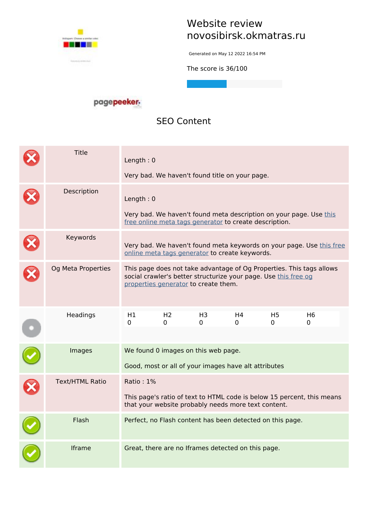

## **Website review novosibirsk.okmatras.ru**

Generated on May 12 2022 16:54 PM

**The score is 36/100**

#### pagepeeker.

## **SEO Content**

| <b>Title</b>           | Length: $0$                                                                                                                                 | Very bad. We haven't found title on your page.                                                          |         |         |                     |                                                                        |
|------------------------|---------------------------------------------------------------------------------------------------------------------------------------------|---------------------------------------------------------------------------------------------------------|---------|---------|---------------------|------------------------------------------------------------------------|
| Description            | Length: $0$<br>Very bad. We haven't found meta description on your page. Use this<br>free online meta tags generator to create description. |                                                                                                         |         |         |                     |                                                                        |
| Keywords               |                                                                                                                                             | online meta tags generator to create keywords.                                                          |         |         |                     | Very bad. We haven't found meta keywords on your page. Use this free   |
| Og Meta Properties     |                                                                                                                                             | social crawler's better structurize your page. Use this free og<br>properties generator to create them. |         |         |                     | This page does not take advantage of Og Properties. This tags allows   |
| Headings               | H1<br>0                                                                                                                                     | H <sub>2</sub><br>0                                                                                     | H3<br>0 | H4<br>0 | H <sub>5</sub><br>0 | H <sub>6</sub><br>0                                                    |
| Images                 |                                                                                                                                             | We found 0 images on this web page.<br>Good, most or all of your images have alt attributes             |         |         |                     |                                                                        |
| <b>Text/HTML Ratio</b> | Ratio: 1%                                                                                                                                   | that your website probably needs more text content.                                                     |         |         |                     | This page's ratio of text to HTML code is below 15 percent, this means |
| Flash                  |                                                                                                                                             | Perfect, no Flash content has been detected on this page.                                               |         |         |                     |                                                                        |
| Iframe                 |                                                                                                                                             | Great, there are no Iframes detected on this page.                                                      |         |         |                     |                                                                        |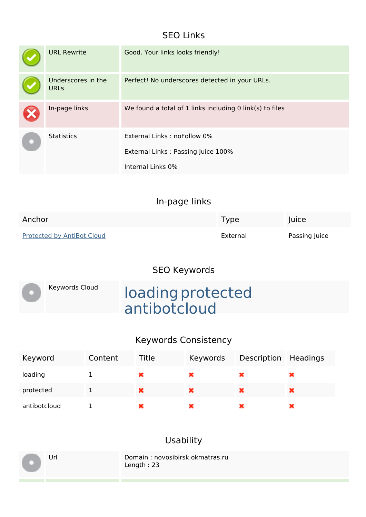## **SEO Links**

| <b>URL Rewrite</b>                | Good. Your links looks friendly!                                                       |
|-----------------------------------|----------------------------------------------------------------------------------------|
| Underscores in the<br><b>URLs</b> | Perfect! No underscores detected in your URLs.                                         |
| In-page links                     | We found a total of 1 links including 0 link(s) to files                               |
| <b>Statistics</b>                 | External Links: noFollow 0%<br>External Links: Passing Juice 100%<br>Internal Links 0% |

|                            | In-page links |               |
|----------------------------|---------------|---------------|
| Anchor                     | Type          | Juice         |
| Protected by AntiBot.Cloud | External      | Passing Juice |

# **SEO Keywords**

| Keywords Cloud |
|----------------|
|                |
|                |

# Keywords Cloud **loading protected** antibotcloud

#### **Keywords Consistency**

| Keyword      | Content | Title | Keywords | Description Headings |  |
|--------------|---------|-------|----------|----------------------|--|
| loading      |         |       | ×        |                      |  |
| protected    |         | ×     | ×        | ×                    |  |
| antibotcloud |         |       | ×        |                      |  |

## **Usability**

Url Domain : novosibirsk.okmatras.ru Length : 23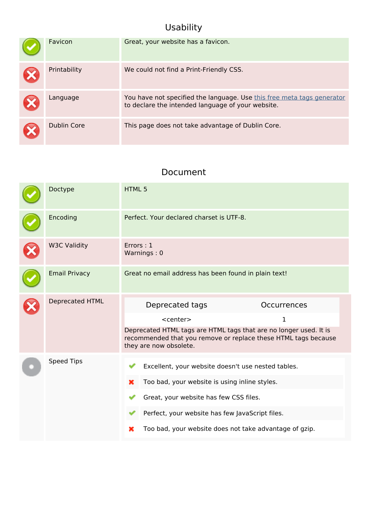# **Usability**

| Favicon      | Great, your website has a favicon.                                                                                          |
|--------------|-----------------------------------------------------------------------------------------------------------------------------|
| Printability | We could not find a Print-Friendly CSS.                                                                                     |
| Language     | You have not specified the language. Use this free meta tags generator<br>to declare the intended language of your website. |
| Dublin Core  | This page does not take advantage of Dublin Core.                                                                           |

#### **Document**

| Doctype              | <b>HTML5</b>                                                                                                                                                                                                                                                         |
|----------------------|----------------------------------------------------------------------------------------------------------------------------------------------------------------------------------------------------------------------------------------------------------------------|
| Encoding             | Perfect. Your declared charset is UTF-8.                                                                                                                                                                                                                             |
| <b>W3C Validity</b>  | Errors: 1<br>Warnings: 0                                                                                                                                                                                                                                             |
| <b>Email Privacy</b> | Great no email address has been found in plain text!                                                                                                                                                                                                                 |
| Deprecated HTML      | Deprecated tags<br><b>Occurrences</b><br>$<$ center $>$<br>1<br>Deprecated HTML tags are HTML tags that are no longer used. It is<br>recommended that you remove or replace these HTML tags because<br>they are now obsolete.                                        |
| <b>Speed Tips</b>    | Excellent, your website doesn't use nested tables.<br>Too bad, your website is using inline styles.<br>×<br>Great, your website has few CSS files.<br>Perfect, your website has few JavaScript files.<br>Too bad, your website does not take advantage of gzip.<br>× |